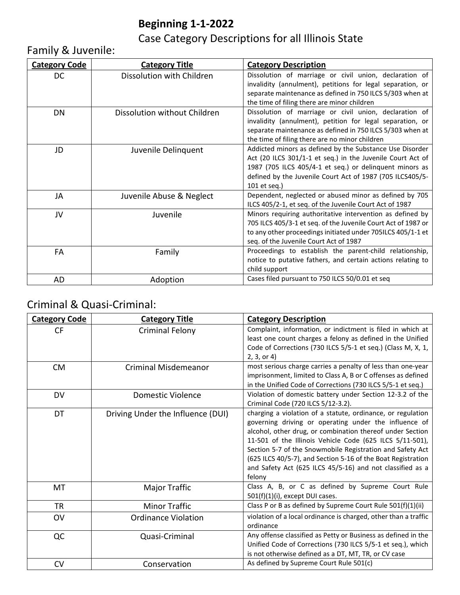## **Beginning 1-1-2022**

Case Category Descriptions for all Illinois State

### Family & Juvenile:

| <b>Category Code</b> | <b>Category Title</b>        | <b>Category Description</b>                                                                                                                                                                                                                                    |
|----------------------|------------------------------|----------------------------------------------------------------------------------------------------------------------------------------------------------------------------------------------------------------------------------------------------------------|
| DC                   | Dissolution with Children    | Dissolution of marriage or civil union, declaration of<br>invalidity (annulment), petitions for legal separation, or<br>separate maintenance as defined in 750 ILCS 5/303 when at<br>the time of filing there are minor children                               |
| DN                   | Dissolution without Children | Dissolution of marriage or civil union, declaration of<br>invalidity (annulment), petition for legal separation, or<br>separate maintenance as defined in 750 ILCS 5/303 when at<br>the time of filing there are no minor children                             |
| JD                   | Juvenile Delinquent          | Addicted minors as defined by the Substance Use Disorder<br>Act (20 ILCS 301/1-1 et seq.) in the Juvenile Court Act of<br>1987 (705 ILCS 405/4-1 et seq.) or delinquent minors as<br>defined by the Juvenile Court Act of 1987 (705 ILCS405/5-<br>101 et seg.) |
| JA                   | Juvenile Abuse & Neglect     | Dependent, neglected or abused minor as defined by 705<br>ILCS 405/2-1, et seq. of the Juvenile Court Act of 1987                                                                                                                                              |
| JV                   | Juvenile                     | Minors requiring authoritative intervention as defined by<br>705 ILCS 405/3-1 et seq. of the Juvenile Court Act of 1987 or<br>to any other proceedings initiated under 705ILCS 405/1-1 et<br>seq. of the Juvenile Court Act of 1987                            |
| FA                   | Family                       | Proceedings to establish the parent-child relationship,<br>notice to putative fathers, and certain actions relating to<br>child support                                                                                                                        |
| AD                   | Adoption                     | Cases filed pursuant to 750 ILCS 50/0.01 et seq                                                                                                                                                                                                                |

#### Criminal & Quasi-Criminal:

| <b>Category Code</b> | <b>Category Title</b>             | <b>Category Description</b>                                                                                                                                                                                                                                                                                                                                                                                                                       |
|----------------------|-----------------------------------|---------------------------------------------------------------------------------------------------------------------------------------------------------------------------------------------------------------------------------------------------------------------------------------------------------------------------------------------------------------------------------------------------------------------------------------------------|
| CF                   | <b>Criminal Felony</b>            | Complaint, information, or indictment is filed in which at<br>least one count charges a felony as defined in the Unified<br>Code of Corrections (730 ILCS 5/5-1 et seq.) (Class M, X, 1,<br>2, 3, or 4)                                                                                                                                                                                                                                           |
| <b>CM</b>            | <b>Criminal Misdemeanor</b>       | most serious charge carries a penalty of less than one-year<br>imprisonment, limited to Class A, B or C offenses as defined<br>in the Unified Code of Corrections (730 ILCS 5/5-1 et seq.)                                                                                                                                                                                                                                                        |
| DV                   | Domestic Violence                 | Violation of domestic battery under Section 12-3.2 of the<br>Criminal Code (720 ILCS 5/12-3.2).                                                                                                                                                                                                                                                                                                                                                   |
| DT                   | Driving Under the Influence (DUI) | charging a violation of a statute, ordinance, or regulation<br>governing driving or operating under the influence of<br>alcohol, other drug, or combination thereof under Section<br>11-501 of the Illinois Vehicle Code (625 ILCS 5/11-501),<br>Section 5-7 of the Snowmobile Registration and Safety Act<br>(625 ILCS 40/5-7), and Section 5-16 of the Boat Registration<br>and Safety Act (625 ILCS 45/5-16) and not classified as a<br>felony |
| <b>MT</b>            | Major Traffic                     | Class A, B, or C as defined by Supreme Court Rule<br>$501(f)(1)(i)$ , except DUI cases.                                                                                                                                                                                                                                                                                                                                                           |
| <b>TR</b>            | <b>Minor Traffic</b>              | Class P or B as defined by Supreme Court Rule 501(f)(1)(ii)                                                                                                                                                                                                                                                                                                                                                                                       |
| <b>OV</b>            | <b>Ordinance Violation</b>        | violation of a local ordinance is charged, other than a traffic<br>ordinance                                                                                                                                                                                                                                                                                                                                                                      |
| QC                   | Quasi-Criminal                    | Any offense classified as Petty or Business as defined in the<br>Unified Code of Corrections (730 ILCS 5/5-1 et seq.), which<br>is not otherwise defined as a DT, MT, TR, or CV case                                                                                                                                                                                                                                                              |
| <b>CV</b>            | Conservation                      | As defined by Supreme Court Rule 501(c)                                                                                                                                                                                                                                                                                                                                                                                                           |